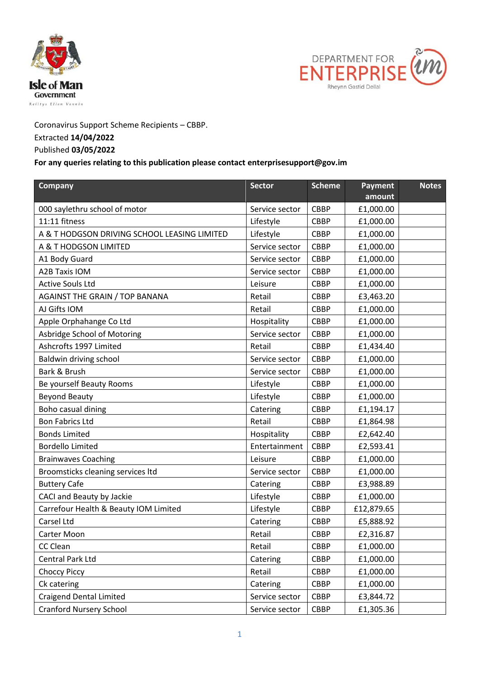



## Coronavirus Support Scheme Recipients – CBBP.

## Extracted **14/04/2022**

## Published **03/05/2022**

## **For any queries relating to this publication please contact enterprisesupport@gov.im**

| Company                                      | <b>Sector</b>  | <b>Scheme</b> | <b>Payment</b><br>amount | <b>Notes</b> |
|----------------------------------------------|----------------|---------------|--------------------------|--------------|
| 000 saylethru school of motor                | Service sector | <b>CBBP</b>   | £1,000.00                |              |
| 11:11 fitness                                | Lifestyle      | <b>CBBP</b>   | £1,000.00                |              |
| A & T HODGSON DRIVING SCHOOL LEASING LIMITED | Lifestyle      | <b>CBBP</b>   | £1,000.00                |              |
| A & T HODGSON LIMITED                        | Service sector | <b>CBBP</b>   | £1,000.00                |              |
| A1 Body Guard                                | Service sector | <b>CBBP</b>   | £1,000.00                |              |
| <b>A2B Taxis IOM</b>                         | Service sector | CBBP          | £1,000.00                |              |
| <b>Active Souls Ltd</b>                      | Leisure        | <b>CBBP</b>   | £1,000.00                |              |
| <b>AGAINST THE GRAIN / TOP BANANA</b>        | Retail         | <b>CBBP</b>   | £3,463.20                |              |
| AJ Gifts IOM                                 | Retail         | <b>CBBP</b>   | £1,000.00                |              |
| Apple Orphahange Co Ltd                      | Hospitality    | <b>CBBP</b>   | £1,000.00                |              |
| Asbridge School of Motoring                  | Service sector | CBBP          | £1,000.00                |              |
| Ashcrofts 1997 Limited                       | Retail         | <b>CBBP</b>   | £1,434.40                |              |
| Baldwin driving school                       | Service sector | <b>CBBP</b>   | £1,000.00                |              |
| Bark & Brush                                 | Service sector | <b>CBBP</b>   | £1,000.00                |              |
| Be yourself Beauty Rooms                     | Lifestyle      | <b>CBBP</b>   | £1,000.00                |              |
| <b>Beyond Beauty</b>                         | Lifestyle      | <b>CBBP</b>   | £1,000.00                |              |
| Boho casual dining                           | Catering       | <b>CBBP</b>   | £1,194.17                |              |
| <b>Bon Fabrics Ltd</b>                       | Retail         | CBBP          | £1,864.98                |              |
| <b>Bonds Limited</b>                         | Hospitality    | <b>CBBP</b>   | £2,642.40                |              |
| <b>Bordello Limited</b>                      | Entertainment  | <b>CBBP</b>   | £2,593.41                |              |
| <b>Brainwaves Coaching</b>                   | Leisure        | <b>CBBP</b>   | £1,000.00                |              |
| Broomsticks cleaning services Itd            | Service sector | <b>CBBP</b>   | £1,000.00                |              |
| <b>Buttery Cafe</b>                          | Catering       | CBBP          | £3,988.89                |              |
| CACI and Beauty by Jackie                    | Lifestyle      | <b>CBBP</b>   | £1,000.00                |              |
| Carrefour Health & Beauty IOM Limited        | Lifestyle      | CBBP          | £12,879.65               |              |
| Carsel Ltd                                   | Catering       | <b>CBBP</b>   | £5,888.92                |              |
| Carter Moon                                  | Retail         | <b>CBBP</b>   | £2,316.87                |              |
| CC Clean                                     | Retail         | CBBP          | £1,000.00                |              |
| <b>Central Park Ltd</b>                      | Catering       | CBBP          | £1,000.00                |              |
| <b>Choccy Piccy</b>                          | Retail         | CBBP          | £1,000.00                |              |
| Ck catering                                  | Catering       | CBBP          | £1,000.00                |              |
| <b>Craigend Dental Limited</b>               | Service sector | CBBP          | £3,844.72                |              |
| <b>Cranford Nursery School</b>               | Service sector | CBBP          | £1,305.36                |              |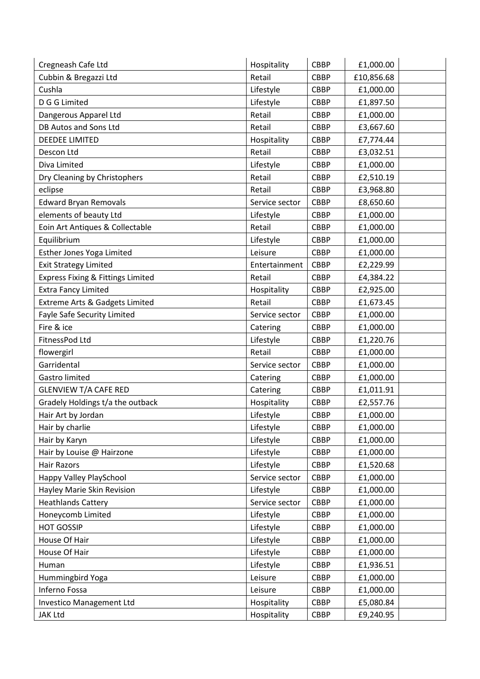| Cregneash Cafe Ltd                           | Hospitality    | <b>CBBP</b> | £1,000.00  |
|----------------------------------------------|----------------|-------------|------------|
| Cubbin & Bregazzi Ltd                        | Retail         | <b>CBBP</b> | £10,856.68 |
| Cushla                                       | Lifestyle      | <b>CBBP</b> | £1,000.00  |
| D G G Limited                                | Lifestyle      | <b>CBBP</b> | £1,897.50  |
| Dangerous Apparel Ltd                        | Retail         | <b>CBBP</b> | £1,000.00  |
| DB Autos and Sons Ltd                        | Retail         | <b>CBBP</b> | £3,667.60  |
| <b>DEEDEE LIMITED</b>                        | Hospitality    | <b>CBBP</b> | £7,774.44  |
| Descon Ltd                                   | Retail         | <b>CBBP</b> | £3,032.51  |
| Diva Limited                                 | Lifestyle      | <b>CBBP</b> | £1,000.00  |
| Dry Cleaning by Christophers                 | Retail         | <b>CBBP</b> | £2,510.19  |
| eclipse                                      | Retail         | <b>CBBP</b> | £3,968.80  |
| <b>Edward Bryan Removals</b>                 | Service sector | <b>CBBP</b> | £8,650.60  |
| elements of beauty Ltd                       | Lifestyle      | <b>CBBP</b> | £1,000.00  |
| Eoin Art Antiques & Collectable              | Retail         | <b>CBBP</b> | £1,000.00  |
| Equilibrium                                  | Lifestyle      | <b>CBBP</b> | £1,000.00  |
| Esther Jones Yoga Limited                    | Leisure        | <b>CBBP</b> | £1,000.00  |
| <b>Exit Strategy Limited</b>                 | Entertainment  | <b>CBBP</b> | £2,229.99  |
| <b>Express Fixing &amp; Fittings Limited</b> | Retail         | <b>CBBP</b> | £4,384.22  |
| <b>Extra Fancy Limited</b>                   | Hospitality    | <b>CBBP</b> | £2,925.00  |
| Extreme Arts & Gadgets Limited               | Retail         | <b>CBBP</b> | £1,673.45  |
| <b>Fayle Safe Security Limited</b>           | Service sector | <b>CBBP</b> | £1,000.00  |
| Fire & ice                                   | Catering       | <b>CBBP</b> | £1,000.00  |
| FitnessPod Ltd                               | Lifestyle      | <b>CBBP</b> | £1,220.76  |
| flowergirl                                   | Retail         | <b>CBBP</b> | £1,000.00  |
| Garridental                                  | Service sector | <b>CBBP</b> | £1,000.00  |
| Gastro limited                               | Catering       | <b>CBBP</b> | £1,000.00  |
| <b>GLENVIEW T/A CAFE RED</b>                 | Catering       | <b>CBBP</b> | £1,011.91  |
| Gradely Holdings t/a the outback             | Hospitality    | <b>CBBP</b> | £2,557.76  |
| Hair Art by Jordan                           | Lifestyle      | <b>CBBP</b> | £1,000.00  |
| Hair by charlie                              | Lifestyle      | <b>CBBP</b> | £1,000.00  |
| Hair by Karyn                                | Lifestyle      | <b>CBBP</b> | £1,000.00  |
| Hair by Louise @ Hairzone                    | Lifestyle      | <b>CBBP</b> | £1,000.00  |
| Hair Razors                                  | Lifestyle      | <b>CBBP</b> | £1,520.68  |
| Happy Valley PlaySchool                      | Service sector | <b>CBBP</b> | £1,000.00  |
| Hayley Marie Skin Revision                   | Lifestyle      | CBBP        | £1,000.00  |
| <b>Heathlands Cattery</b>                    | Service sector | <b>CBBP</b> | £1,000.00  |
| Honeycomb Limited                            | Lifestyle      | CBBP        | £1,000.00  |
| <b>HOT GOSSIP</b>                            | Lifestyle      | <b>CBBP</b> | £1,000.00  |
| House Of Hair                                | Lifestyle      | CBBP        | £1,000.00  |
| House Of Hair                                | Lifestyle      | <b>CBBP</b> | £1,000.00  |
| Human                                        | Lifestyle      | <b>CBBP</b> | £1,936.51  |
| Hummingbird Yoga                             | Leisure        | <b>CBBP</b> | £1,000.00  |
| Inferno Fossa                                | Leisure        | CBBP        | £1,000.00  |
| <b>Investico Management Ltd</b>              | Hospitality    | CBBP        | £5,080.84  |
| <b>JAK Ltd</b>                               | Hospitality    | CBBP        | £9,240.95  |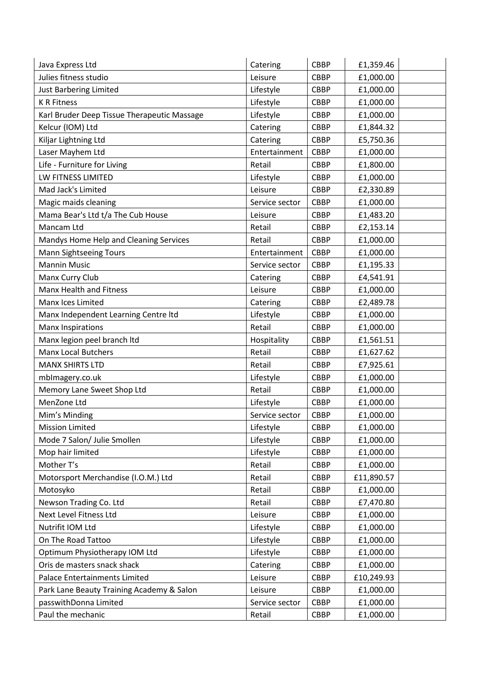| Julies fitness studio<br>Leisure<br>£1,000.00<br><b>CBBP</b><br>Just Barbering Limited<br>Lifestyle<br><b>CBBP</b><br>£1,000.00<br><b>K R Fitness</b><br>Lifestyle<br><b>CBBP</b><br>£1,000.00 |
|------------------------------------------------------------------------------------------------------------------------------------------------------------------------------------------------|
|                                                                                                                                                                                                |
|                                                                                                                                                                                                |
|                                                                                                                                                                                                |
| Karl Bruder Deep Tissue Therapeutic Massage<br>Lifestyle<br><b>CBBP</b><br>£1,000.00                                                                                                           |
| Kelcur (IOM) Ltd<br><b>CBBP</b><br>Catering<br>£1,844.32                                                                                                                                       |
| Kiljar Lightning Ltd<br>Catering<br><b>CBBP</b><br>£5,750.36                                                                                                                                   |
| Laser Mayhem Ltd<br>Entertainment<br><b>CBBP</b><br>£1,000.00                                                                                                                                  |
| Life - Furniture for Living<br>Retail<br><b>CBBP</b><br>£1,800.00                                                                                                                              |
| LW FITNESS LIMITED<br>Lifestyle<br><b>CBBP</b><br>£1,000.00                                                                                                                                    |
| Mad Jack's Limited<br><b>CBBP</b><br>Leisure<br>£2,330.89                                                                                                                                      |
| Magic maids cleaning<br>Service sector<br><b>CBBP</b><br>£1,000.00                                                                                                                             |
| Mama Bear's Ltd t/a The Cub House<br><b>CBBP</b><br>Leisure<br>£1,483.20                                                                                                                       |
| Mancam Ltd<br><b>CBBP</b><br>£2,153.14<br>Retail                                                                                                                                               |
| Mandys Home Help and Cleaning Services<br>Retail<br><b>CBBP</b><br>£1,000.00                                                                                                                   |
| <b>Mann Sightseeing Tours</b><br><b>CBBP</b><br>£1,000.00<br>Entertainment                                                                                                                     |
| <b>Mannin Music</b><br><b>CBBP</b><br>Service sector<br>£1,195.33                                                                                                                              |
| Manx Curry Club<br>£4,541.91<br>Catering<br><b>CBBP</b>                                                                                                                                        |
| Manx Health and Fitness<br>Leisure<br><b>CBBP</b><br>£1,000.00                                                                                                                                 |
| Manx Ices Limited<br><b>CBBP</b><br>Catering<br>£2,489.78                                                                                                                                      |
| Lifestyle<br>£1,000.00<br>Manx Independent Learning Centre Itd<br><b>CBBP</b>                                                                                                                  |
| <b>Manx Inspirations</b><br>Retail<br><b>CBBP</b><br>£1,000.00                                                                                                                                 |
| Manx legion peel branch ltd<br>CBBP<br>Hospitality<br>£1,561.51                                                                                                                                |
| <b>Manx Local Butchers</b><br>Retail<br><b>CBBP</b><br>£1,627.62                                                                                                                               |
| <b>MANX SHIRTS LTD</b><br><b>CBBP</b><br>£7,925.61<br>Retail                                                                                                                                   |
| CBBP<br>£1,000.00<br>mbImagery.co.uk<br>Lifestyle                                                                                                                                              |
| Memory Lane Sweet Shop Ltd<br>Retail<br><b>CBBP</b><br>£1,000.00                                                                                                                               |
| MenZone Ltd<br>Lifestyle<br><b>CBBP</b><br>£1,000.00                                                                                                                                           |
| £1,000.00<br>Mim's Minding<br>Service sector<br><b>CBBP</b>                                                                                                                                    |
| <b>CBBP</b><br>£1,000.00<br><b>Mission Limited</b><br>Lifestyle                                                                                                                                |
| Lifestyle<br>Mode 7 Salon/ Julie Smollen<br>CBBP<br>£1,000.00                                                                                                                                  |
| Lifestyle<br>Mop hair limited<br>CBBP<br>£1,000.00                                                                                                                                             |
| Mother T's<br>Retail<br><b>CBBP</b><br>£1,000.00                                                                                                                                               |
| Motorsport Merchandise (I.O.M.) Ltd<br>CBBP<br>£11,890.57<br>Retail                                                                                                                            |
| CBBP<br>Motosyko<br>Retail<br>£1,000.00                                                                                                                                                        |
| Newson Trading Co. Ltd<br>Retail<br><b>CBBP</b><br>£7,470.80                                                                                                                                   |
| Next Level Fitness Ltd<br><b>CBBP</b><br>£1,000.00<br>Leisure                                                                                                                                  |
| Lifestyle<br>CBBP<br>£1,000.00<br>Nutrifit IOM Ltd                                                                                                                                             |
| Lifestyle<br>On The Road Tattoo<br>CBBP<br>£1,000.00                                                                                                                                           |
| Optimum Physiotherapy IOM Ltd<br>Lifestyle<br>CBBP<br>£1,000.00                                                                                                                                |
| Oris de masters snack shack<br>CBBP<br>£1,000.00<br>Catering                                                                                                                                   |
| Palace Entertainments Limited<br>Leisure<br>CBBP<br>£10,249.93                                                                                                                                 |
| CBBP<br>£1,000.00<br>Park Lane Beauty Training Academy & Salon<br>Leisure                                                                                                                      |
| passwithDonna Limited<br>Service sector<br><b>CBBP</b><br>£1,000.00                                                                                                                            |
| Paul the mechanic<br>CBBP<br>£1,000.00<br>Retail                                                                                                                                               |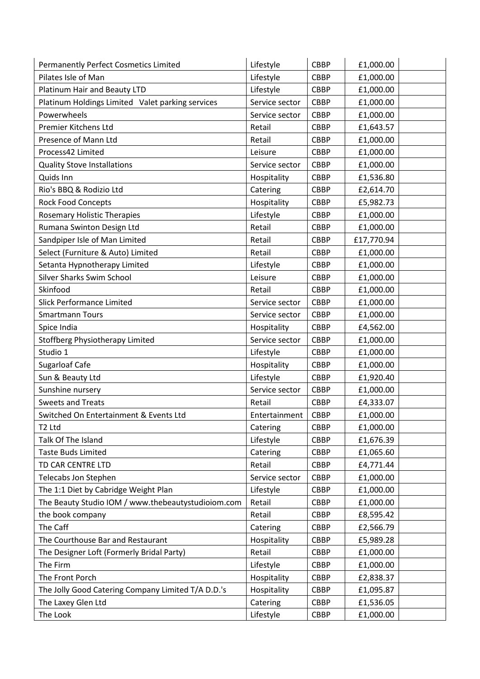| <b>Permanently Perfect Cosmetics Limited</b>       | Lifestyle      | <b>CBBP</b> | £1,000.00  |  |
|----------------------------------------------------|----------------|-------------|------------|--|
| Pilates Isle of Man                                | Lifestyle      | <b>CBBP</b> | £1,000.00  |  |
| Platinum Hair and Beauty LTD                       | Lifestyle      | <b>CBBP</b> | £1,000.00  |  |
| Platinum Holdings Limited Valet parking services   | Service sector | <b>CBBP</b> | £1,000.00  |  |
| Powerwheels                                        | Service sector | <b>CBBP</b> | £1,000.00  |  |
| Premier Kitchens Ltd                               | Retail         | <b>CBBP</b> | £1,643.57  |  |
| Presence of Mann Ltd                               | Retail         | <b>CBBP</b> | £1,000.00  |  |
| Process42 Limited                                  | Leisure        | <b>CBBP</b> | £1,000.00  |  |
| <b>Quality Stove Installations</b>                 | Service sector | <b>CBBP</b> | £1,000.00  |  |
| Quids Inn                                          | Hospitality    | <b>CBBP</b> | £1,536.80  |  |
| Rio's BBQ & Rodizio Ltd                            | Catering       | <b>CBBP</b> | £2,614.70  |  |
| <b>Rock Food Concepts</b>                          | Hospitality    | <b>CBBP</b> | £5,982.73  |  |
| Rosemary Holistic Therapies                        | Lifestyle      | <b>CBBP</b> | £1,000.00  |  |
| Rumana Swinton Design Ltd                          | Retail         | <b>CBBP</b> | £1,000.00  |  |
| Sandpiper Isle of Man Limited                      | Retail         | <b>CBBP</b> | £17,770.94 |  |
| Select (Furniture & Auto) Limited                  | Retail         | <b>CBBP</b> | £1,000.00  |  |
| Setanta Hypnotherapy Limited                       | Lifestyle      | <b>CBBP</b> | £1,000.00  |  |
| Silver Sharks Swim School                          | Leisure        | <b>CBBP</b> | £1,000.00  |  |
| Skinfood                                           | Retail         | <b>CBBP</b> | £1,000.00  |  |
| <b>Slick Performance Limited</b>                   | Service sector | <b>CBBP</b> | £1,000.00  |  |
| <b>Smartmann Tours</b>                             | Service sector | <b>CBBP</b> | £1,000.00  |  |
| Spice India                                        | Hospitality    | <b>CBBP</b> | £4,562.00  |  |
| Stoffberg Physiotherapy Limited                    | Service sector | <b>CBBP</b> | £1,000.00  |  |
| Studio 1                                           | Lifestyle      | <b>CBBP</b> | £1,000.00  |  |
| Sugarloaf Cafe                                     | Hospitality    | <b>CBBP</b> | £1,000.00  |  |
| Sun & Beauty Ltd                                   | Lifestyle      | <b>CBBP</b> | £1,920.40  |  |
| Sunshine nursery                                   | Service sector | <b>CBBP</b> | £1,000.00  |  |
| <b>Sweets and Treats</b>                           | Retail         | CBBP        | £4,333.07  |  |
| Switched On Entertainment & Events Ltd             | Entertainment  | <b>CBBP</b> | £1,000.00  |  |
| T <sub>2</sub> Ltd                                 | Catering       | <b>CBBP</b> | £1,000.00  |  |
| Talk Of The Island                                 | Lifestyle      | <b>CBBP</b> | £1,676.39  |  |
| <b>Taste Buds Limited</b>                          | Catering       | CBBP        | £1,065.60  |  |
| TD CAR CENTRE LTD                                  | Retail         | CBBP        | £4,771.44  |  |
| Telecabs Jon Stephen                               | Service sector | <b>CBBP</b> | £1,000.00  |  |
| The 1:1 Diet by Cabridge Weight Plan               | Lifestyle      | CBBP        | £1,000.00  |  |
| The Beauty Studio IOM / www.thebeautystudioiom.com | Retail         | <b>CBBP</b> | £1,000.00  |  |
| the book company                                   | Retail         | <b>CBBP</b> | £8,595.42  |  |
| The Caff                                           | Catering       | CBBP        | £2,566.79  |  |
| The Courthouse Bar and Restaurant                  | Hospitality    | CBBP        | £5,989.28  |  |
| The Designer Loft (Formerly Bridal Party)          | Retail         | <b>CBBP</b> | £1,000.00  |  |
| The Firm                                           | Lifestyle      | CBBP        | £1,000.00  |  |
| The Front Porch                                    | Hospitality    | <b>CBBP</b> | £2,838.37  |  |
| The Jolly Good Catering Company Limited T/A D.D.'s | Hospitality    | <b>CBBP</b> | £1,095.87  |  |
| The Laxey Glen Ltd                                 | Catering       | CBBP        | £1,536.05  |  |
| The Look                                           | Lifestyle      | CBBP        | £1,000.00  |  |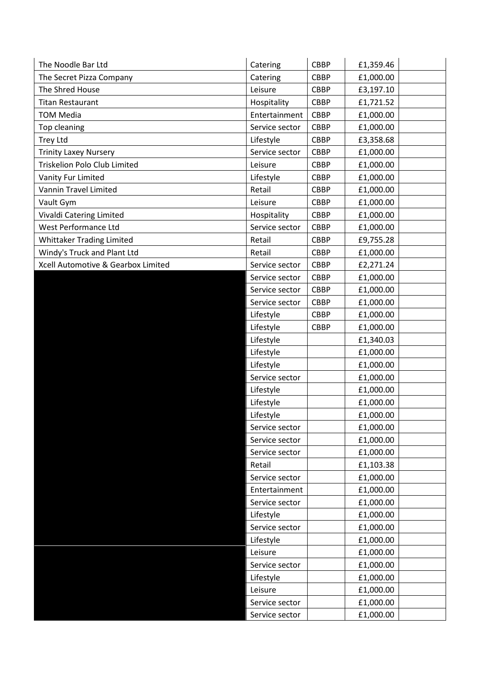| The Noodle Bar Ltd                 | Catering       | <b>CBBP</b> | £1,359.46 |  |
|------------------------------------|----------------|-------------|-----------|--|
| The Secret Pizza Company           | Catering       | <b>CBBP</b> | £1,000.00 |  |
| The Shred House                    | Leisure        | <b>CBBP</b> | £3,197.10 |  |
| <b>Titan Restaurant</b>            | Hospitality    | <b>CBBP</b> | £1,721.52 |  |
| <b>TOM Media</b>                   | Entertainment  | <b>CBBP</b> | £1,000.00 |  |
| Top cleaning                       | Service sector | <b>CBBP</b> | £1,000.00 |  |
| <b>Trey Ltd</b>                    | Lifestyle      | <b>CBBP</b> | £3,358.68 |  |
| <b>Trinity Laxey Nursery</b>       | Service sector | <b>CBBP</b> | £1,000.00 |  |
| Triskelion Polo Club Limited       | Leisure        | <b>CBBP</b> | £1,000.00 |  |
| Vanity Fur Limited                 | Lifestyle      | <b>CBBP</b> | £1,000.00 |  |
| Vannin Travel Limited              | Retail         | <b>CBBP</b> | £1,000.00 |  |
| Vault Gym                          | Leisure        | <b>CBBP</b> | £1,000.00 |  |
| Vivaldi Catering Limited           | Hospitality    | <b>CBBP</b> | £1,000.00 |  |
| West Performance Ltd               | Service sector | <b>CBBP</b> | £1,000.00 |  |
| <b>Whittaker Trading Limited</b>   | Retail         | <b>CBBP</b> | £9,755.28 |  |
| Windy's Truck and Plant Ltd        | Retail         | <b>CBBP</b> | £1,000.00 |  |
| Xcell Automotive & Gearbox Limited | Service sector | <b>CBBP</b> | £2,271.24 |  |
|                                    | Service sector | <b>CBBP</b> | £1,000.00 |  |
|                                    | Service sector | <b>CBBP</b> | £1,000.00 |  |
|                                    | Service sector | <b>CBBP</b> | £1,000.00 |  |
|                                    | Lifestyle      | <b>CBBP</b> | £1,000.00 |  |
|                                    | Lifestyle      | <b>CBBP</b> | £1,000.00 |  |
|                                    | Lifestyle      |             | £1,340.03 |  |
|                                    | Lifestyle      |             | £1,000.00 |  |
|                                    | Lifestyle      |             | £1,000.00 |  |
|                                    | Service sector |             | £1,000.00 |  |
|                                    | Lifestyle      |             | £1,000.00 |  |
|                                    | Lifestyle      |             | £1,000.00 |  |
|                                    | Lifestyle      |             | £1,000.00 |  |
|                                    | Service sector |             | £1,000.00 |  |
|                                    | Service sector |             | £1,000.00 |  |
|                                    | Service sector |             | £1,000.00 |  |
|                                    | Retail         |             | £1,103.38 |  |
|                                    | Service sector |             | £1,000.00 |  |
|                                    | Entertainment  |             | £1,000.00 |  |
|                                    | Service sector |             | £1,000.00 |  |
|                                    | Lifestyle      |             | £1,000.00 |  |
|                                    | Service sector |             | £1,000.00 |  |
|                                    | Lifestyle      |             | £1,000.00 |  |
|                                    | Leisure        |             | £1,000.00 |  |
|                                    | Service sector |             | £1,000.00 |  |
|                                    | Lifestyle      |             | £1,000.00 |  |
|                                    | Leisure        |             | £1,000.00 |  |
|                                    | Service sector |             | £1,000.00 |  |
|                                    | Service sector |             | £1,000.00 |  |